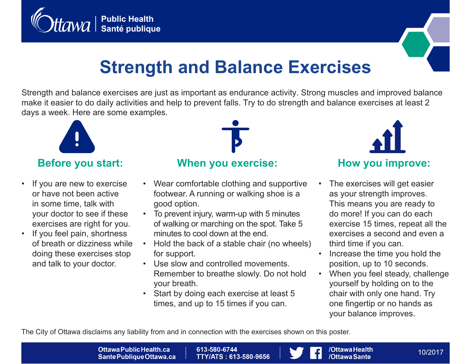



# **Strength and Balance Exercises**

Strength and balance exercises are just as important as endurance activity. Strong muscles and improved balance make it easier to do daily activities and help to prevent falls. Try to do strength and balance exercises at least 2 days a week. Here are some examples.



## **Before you start:**

- If you are new to exercise or have not been active in some time, talk with your doctor to see if these exercises are right for you.
- If you feel pain, shortness of breath or dizziness while doing these exercises stop and talk to your doctor.



#### **When you exercise:**

- Wear comfortable clothing and supportive footwear. A running or walking shoe is a good option.
- To prevent injury, warm-up with 5 minutes of walking or marching on the spot. Take 5 minutes to cool down at the end.
- Hold the back of a stable chair (no wheels) for support.
- Use slow and controlled movements. Remember to breathe slowly. Do not hold your breath.
- Start by doing each exercise at least 5 times, and up to 15 times if you can.



- The exercises will get easier as your strength improves. This means you are ready to do more! If you can do each exercise 15 times, repeat all the exercises a second and even a third time if you can.
- Increase the time you hold the position, up to 10 seconds.
- When you feel steady, challenge yourself by holding on to the chair with only one hand. Try one fingertip or no hands as your balance improves.

The City of Ottawa disclaims any liability from and in connection with the exercises shown on this poster.

Ottawa Public Health.ca Sante Publique Ottawa.ca

613-580-6744 **TTY/ATS: 613-580-9656** 



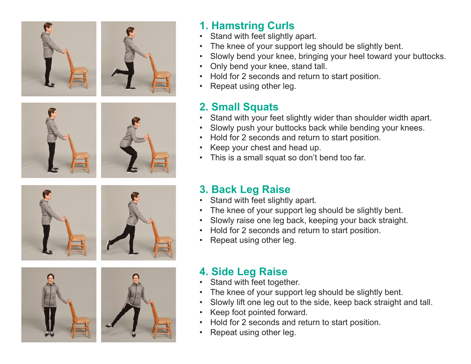















## **1. Hamstring Curls**

- Stand with feet slightly apart.
- The knee of your support leg should be slightly bent.
- Slowly bend your knee, bringing your heel toward your buttocks.
- Only bend your knee, stand tall.
- Hold for 2 seconds and return to start position.
- Repeat using other leg.

# **2. Small Squats**

- Stand with your feet slightly wider than shoulder width apart.
- Slowly push your buttocks back while bending your knees.
- Hold for 2 seconds and return to start position.
- Keep your chest and head up.
- This is a small squat so don't bend too far.

# **3. Back Leg Raise**

- Stand with feet slightly apart.
- The knee of your support leg should be slightly bent.
- Slowly raise one leg back, keeping your back straight.
- Hold for 2 seconds and return to start position.
- Repeat using other leg.

# **4. Side Leg Raise**

- Stand with feet together.
- The knee of your support leg should be slightly bent.
- Slowly lift one leg out to the side, keep back straight and tall.
- Keep foot pointed forward.
- Hold for 2 seconds and return to start position.
- Repeat using other leg.

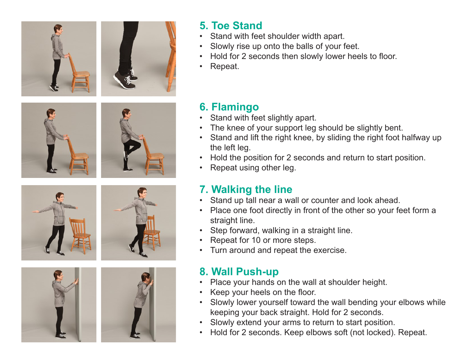



## **5. Toe Stand**

- Stand with feet shoulder width apart.
- Slowly rise up onto the balls of your feet.
- Hold for 2 seconds then slowly lower heels to floor.
- Repeat.













# **6. Flamingo**

- Stand with feet slightly apart.
- The knee of your support leg should be slightly bent.
- Stand and lift the right knee, by sliding the right foot halfway up the left leg.
- Hold the position for 2 seconds and return to start position.
- Repeat using other leg.

# **7. Walking the line**

- Stand up tall near a wall or counter and look ahead.
- Place one foot directly in front of the other so your feet form a straight line.
- Step forward, walking in a straight line.
- Repeat for 10 or more steps.
- Turn around and repeat the exercise.

# **8. Wall Push-up**

- Place your hands on the wall at shoulder height.
- Keep your heels on the floor.
- Slowly lower yourself toward the wall bending your elbows while keeping your back straight. Hold for 2 seconds.
- Slowly extend your arms to return to start position.
- Hold for 2 seconds. Keep elbows soft (not locked). Repeat.